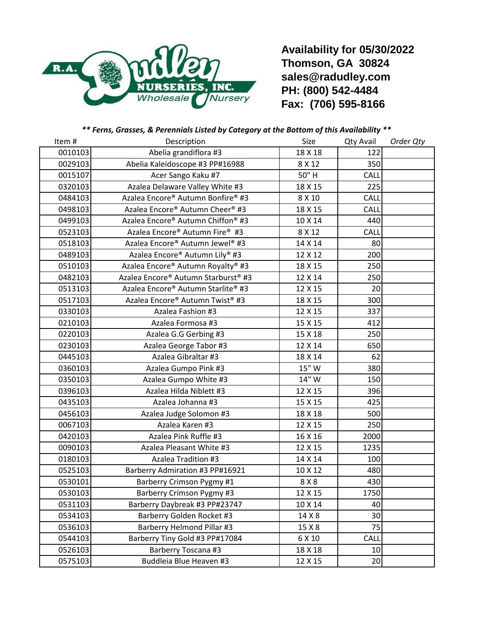

**Availability for 05/30/2022 Thomson, GA 30824 sales@radudley.com PH: (800) 542-4484 Fax: (706) 595-8166**

*\*\* Ferns, Grasses, & Perennials Listed by Category at the Bottom of this Availability \*\**

| Item#   | Description                         | Size    | <b>Qty Avail</b> | Order Qty |
|---------|-------------------------------------|---------|------------------|-----------|
| 0010103 | Abelia grandiflora #3               | 18 X 18 | 122              |           |
| 0029103 | Abelia Kaleidoscope #3 PP#16988     | 8 X 12  | 350              |           |
| 0015107 | Acer Sango Kaku #7                  | 50" H   | CALL             |           |
| 0320103 | Azalea Delaware Valley White #3     | 18 X 15 | 225              |           |
| 0484103 | Azalea Encore® Autumn Bonfire® #3   | 8 X 10  | CALL             |           |
| 0498103 | Azalea Encore® Autumn Cheer® #3     | 18 X 15 | CALL             |           |
| 0499103 | Azalea Encore® Autumn Chiffon® #3   | 10 X 14 | 440              |           |
| 0523103 | Azalea Encore® Autumn Fire® #3      | 8 X 12  | CALL             |           |
| 0518103 | Azalea Encore® Autumn Jewel® #3     | 14 X 14 | 80               |           |
| 0489103 | Azalea Encore® Autumn Lily® #3      | 12 X 12 | 200              |           |
| 0510103 | Azalea Encore® Autumn Royalty® #3   | 18 X 15 | 250              |           |
| 0482103 | Azalea Encore® Autumn Starburst® #3 | 12 X 14 | 250              |           |
| 0513103 | Azalea Encore® Autumn Starlite® #3  | 12 X 15 | 20               |           |
| 0517103 | Azalea Encore® Autumn Twist® #3     | 18 X 15 | 300              |           |
| 0330103 | Azalea Fashion #3                   | 12 X 15 | 337              |           |
| 0210103 | Azalea Formosa #3                   | 15 X 15 | 412              |           |
| 0220103 | Azalea G.G Gerbing #3               | 15 X 18 | 250              |           |
| 0230103 | Azalea George Tabor #3              | 12 X 14 | 650              |           |
| 0445103 | Azalea Gibraltar #3                 | 18 X 14 | 62               |           |
| 0360103 | Azalea Gumpo Pink #3                | 15"W    | 380              |           |
| 0350103 | Azalea Gumpo White #3               | 14" W   | 150              |           |
| 0396103 | Azalea Hilda Niblett #3             | 12 X 15 | 396              |           |
| 0435103 | Azalea Johanna #3                   | 15 X 15 | 425              |           |
| 0456103 | Azalea Judge Solomon #3             | 18 X 18 | 500              |           |
| 0067103 | Azalea Karen #3                     | 12 X 15 | 250              |           |
| 0420103 | Azalea Pink Ruffle #3               | 16 X 16 | 2000             |           |
| 0090103 | Azalea Pleasant White #3            | 12 X 15 | 1235             |           |
| 0180103 | Azalea Tradition #3                 | 14 X 14 | 100              |           |
| 0525103 | Barberry Admiration #3 PP#16921     | 10 X 12 | 480              |           |
| 0530101 | Barberry Crimson Pygmy #1           | 8 X 8   | 430              |           |
| 0530103 | Barberry Crimson Pygmy #3           | 12 X 15 | 1750             |           |
| 0531103 | Barberry Daybreak #3 PP#23747       | 10 X 14 | 40               |           |
| 0534103 | Barberry Golden Rocket #3           | 14 X 8  | 30               |           |
| 0536103 | Barberry Helmond Pillar #3          | 15 X 8  | 75               |           |
| 0544103 | Barberry Tiny Gold #3 PP#17084      | 6 X 10  | CALL             |           |
| 0526103 | <b>Barberry Toscana #3</b>          | 18 X 18 | 10               |           |
| 0575103 | Buddleia Blue Heaven #3             | 12 X 15 | 20               |           |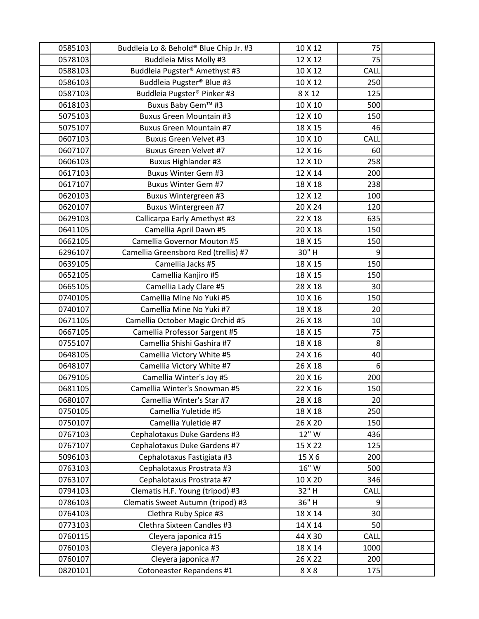| 0585103 | Buddleia Lo & Behold® Blue Chip Jr. #3 | 10 X 12 | 75   |  |
|---------|----------------------------------------|---------|------|--|
| 0578103 | <b>Buddleia Miss Molly #3</b>          | 12 X 12 | 75   |  |
| 0588103 | Buddleia Pugster® Amethyst #3          | 10 X 12 | CALL |  |
| 0586103 | Buddleia Pugster <sup>®</sup> Blue #3  | 10 X 12 | 250  |  |
| 0587103 | Buddleia Pugster® Pinker #3            | 8 X 12  | 125  |  |
| 0618103 | Buxus Baby Gem™ #3                     | 10 X 10 | 500  |  |
| 5075103 | <b>Buxus Green Mountain #3</b>         | 12 X 10 | 150  |  |
| 5075107 | <b>Buxus Green Mountain #7</b>         | 18 X 15 | 46   |  |
| 0607103 | <b>Buxus Green Velvet #3</b>           | 10 X 10 | CALL |  |
| 0607107 | <b>Buxus Green Velvet #7</b>           | 12 X 16 | 60   |  |
| 0606103 | <b>Buxus Highlander #3</b>             | 12 X 10 | 258  |  |
| 0617103 | <b>Buxus Winter Gem #3</b>             | 12 X 14 | 200  |  |
| 0617107 | <b>Buxus Winter Gem #7</b>             | 18 X 18 | 238  |  |
| 0620103 | <b>Buxus Wintergreen #3</b>            | 12 X 12 | 100  |  |
| 0620107 | Buxus Wintergreen #7                   | 20 X 24 | 120  |  |
| 0629103 | Callicarpa Early Amethyst #3           | 22 X 18 | 635  |  |
| 0641105 | Camellia April Dawn #5                 | 20 X 18 | 150  |  |
| 0662105 | Camellia Governor Mouton #5            | 18 X 15 | 150  |  |
| 6296107 | Camellia Greensboro Red (trellis) #7   | 30" H   | 9    |  |
| 0639105 | Camellia Jacks #5                      | 18 X 15 | 150  |  |
| 0652105 | Camellia Kanjiro #5                    | 18 X 15 | 150  |  |
| 0665105 | Camellia Lady Clare #5                 | 28 X 18 | 30   |  |
| 0740105 | Camellia Mine No Yuki #5               | 10 X 16 | 150  |  |
| 0740107 | Camellia Mine No Yuki #7               | 18 X 18 | 20   |  |
| 0671105 | Camellia October Magic Orchid #5       | 26 X 18 | 10   |  |
| 0667105 | Camellia Professor Sargent #5          | 18 X 15 | 75   |  |
| 0755107 | Camellia Shishi Gashira #7             | 18 X 18 | 8    |  |
| 0648105 | Camellia Victory White #5              | 24 X 16 | 40   |  |
| 0648107 | Camellia Victory White #7              | 26 X 18 | 6    |  |
| 0679105 | Camellia Winter's Joy #5               | 20 X 16 | 200  |  |
| 0681105 | Camellia Winter's Snowman #5           | 22 X 16 | 150  |  |
| 0680107 | Camellia Winter's Star #7              | 28 X 18 | 20   |  |
| 0750105 | Camellia Yuletide #5                   | 18 X 18 | 250  |  |
| 0750107 | Camellia Yuletide #7                   | 26 X 20 | 150  |  |
| 0767103 | Cephalotaxus Duke Gardens #3           | 12" W   | 436  |  |
| 0767107 | Cephalotaxus Duke Gardens #7           | 15 X 22 | 125  |  |
| 5096103 | Cephalotaxus Fastigiata #3             | 15 X 6  | 200  |  |
| 0763103 | Cephalotaxus Prostrata #3              | 16" W   | 500  |  |
| 0763107 | Cephalotaxus Prostrata #7              | 10 X 20 | 346  |  |
| 0794103 | Clematis H.F. Young (tripod) #3        | 32" H   | CALL |  |
| 0786103 | Clematis Sweet Autumn (tripod) #3      | 36" H   | 9    |  |
| 0764103 | Clethra Ruby Spice #3                  | 18 X 14 | 30   |  |
| 0773103 | Clethra Sixteen Candles #3             | 14 X 14 | 50   |  |
| 0760115 | Cleyera japonica #15                   | 44 X 30 | CALL |  |
| 0760103 | Cleyera japonica #3                    | 18 X 14 | 1000 |  |
| 0760107 | Cleyera japonica #7                    | 26 X 22 | 200  |  |
| 0820101 | Cotoneaster Repandens #1               | 8 X 8   | 175  |  |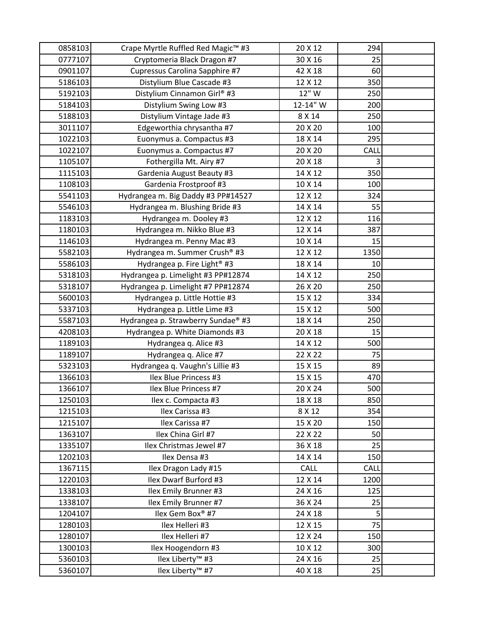| 0858103 | Crape Myrtle Ruffled Red Magic™ #3      | 20 X 12  | 294  |  |
|---------|-----------------------------------------|----------|------|--|
| 0777107 | Cryptomeria Black Dragon #7             | 30 X 16  | 25   |  |
| 0901107 | Cupressus Carolina Sapphire #7          | 42 X 18  | 60   |  |
| 5186103 | Distylium Blue Cascade #3               | 12 X 12  | 350  |  |
| 5192103 | Distylium Cinnamon Girl® #3             | 12"W     | 250  |  |
| 5184103 | Distylium Swing Low #3                  | 12-14" W | 200  |  |
| 5188103 | Distylium Vintage Jade #3               | 8 X 14   | 250  |  |
| 3011107 | Edgeworthia chrysantha #7               | 20 X 20  | 100  |  |
| 1022103 | Euonymus a. Compactus #3                | 18 X 14  | 295  |  |
| 1022107 | Euonymus a. Compactus #7                | 20 X 20  | CALL |  |
| 1105107 | Fothergilla Mt. Airy #7                 | 20 X 18  | 3    |  |
| 1115103 | Gardenia August Beauty #3               | 14 X 12  | 350  |  |
| 1108103 | Gardenia Frostproof #3                  | 10 X 14  | 100  |  |
| 5541103 | Hydrangea m. Big Daddy #3 PP#14527      | 12 X 12  | 324  |  |
| 5546103 | Hydrangea m. Blushing Bride #3          | 14 X 14  | 55   |  |
| 1183103 | Hydrangea m. Dooley #3                  | 12 X 12  | 116  |  |
| 1180103 | Hydrangea m. Nikko Blue #3              | 12 X 14  | 387  |  |
| 1146103 | Hydrangea m. Penny Mac #3               | 10 X 14  | 15   |  |
| 5582103 | Hydrangea m. Summer Crush® #3           | 12 X 12  | 1350 |  |
| 5586103 | Hydrangea p. Fire Light <sup>®</sup> #3 | 18 X 14  | 10   |  |
| 5318103 | Hydrangea p. Limelight #3 PP#12874      | 14 X 12  | 250  |  |
| 5318107 | Hydrangea p. Limelight #7 PP#12874      | 26 X 20  | 250  |  |
| 5600103 | Hydrangea p. Little Hottie #3           | 15 X 12  | 334  |  |
| 5337103 | Hydrangea p. Little Lime #3             | 15 X 12  | 500  |  |
| 5587103 | Hydrangea p. Strawberry Sundae® #3      | 18 X 14  | 250  |  |
| 4208103 | Hydrangea p. White Diamonds #3          | 20 X 18  | 15   |  |
| 1189103 | Hydrangea q. Alice #3                   | 14 X 12  | 500  |  |
| 1189107 | Hydrangea q. Alice #7                   | 22 X 22  | 75   |  |
| 5323103 | Hydrangea q. Vaughn's Lillie #3         | 15 X 15  | 89   |  |
| 1366103 | Ilex Blue Princess #3                   | 15 X 15  | 470  |  |
| 1366107 | Ilex Blue Princess #7                   | 20 X 24  | 500  |  |
| 1250103 | Ilex c. Compacta #3                     | 18 X 18  | 850  |  |
| 1215103 | Ilex Carissa #3                         | 8 X 12   | 354  |  |
| 1215107 | Ilex Carissa #7                         | 15 X 20  | 150  |  |
| 1363107 | Ilex China Girl #7                      | 22 X 22  | 50   |  |
| 1335107 | Ilex Christmas Jewel #7                 | 36 X 18  | 25   |  |
| 1202103 | Ilex Densa #3                           | 14 X 14  | 150  |  |
| 1367115 | Ilex Dragon Lady #15                    | CALL     | CALL |  |
| 1220103 | Ilex Dwarf Burford #3                   | 12 X 14  | 1200 |  |
| 1338103 | Ilex Emily Brunner #3                   | 24 X 16  | 125  |  |
| 1338107 | Ilex Emily Brunner #7                   | 36 X 24  | 25   |  |
| 1204107 | Ilex Gem Box® #7                        | 24 X 18  | 5    |  |
| 1280103 | Ilex Helleri #3                         | 12 X 15  | 75   |  |
| 1280107 | Ilex Helleri #7                         | 12 X 24  | 150  |  |
| 1300103 | Ilex Hoogendorn #3                      | 10 X 12  | 300  |  |
| 5360103 | Ilex Liberty <sup>™</sup> #3            | 24 X 16  | 25   |  |
| 5360107 | Ilex Liberty <sup>™</sup> #7            | 40 X 18  | 25   |  |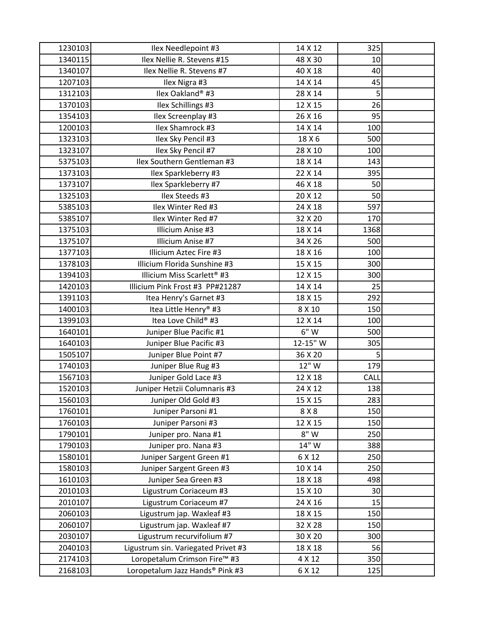| 1230103 | Ilex Needlepoint #3                    | 14 X 12 | 325  |  |
|---------|----------------------------------------|---------|------|--|
| 1340115 | Ilex Nellie R. Stevens #15             | 48 X 30 | 10   |  |
| 1340107 | Ilex Nellie R. Stevens #7              | 40 X 18 | 40   |  |
| 1207103 | Ilex Nigra #3                          | 14 X 14 | 45   |  |
| 1312103 | Ilex Oakland® #3                       | 28 X 14 | 5    |  |
| 1370103 | Ilex Schillings #3                     | 12 X 15 | 26   |  |
| 1354103 | Ilex Screenplay #3                     | 26 X 16 | 95   |  |
| 1200103 | Ilex Shamrock #3                       | 14 X 14 | 100  |  |
| 1323103 | Ilex Sky Pencil #3                     | 18 X 6  | 500  |  |
| 1323107 | Ilex Sky Pencil #7                     | 28 X 10 | 100  |  |
| 5375103 | Ilex Southern Gentleman #3             | 18 X 14 | 143  |  |
| 1373103 | Ilex Sparkleberry #3                   | 22 X 14 | 395  |  |
| 1373107 | Ilex Sparkleberry #7                   | 46 X 18 | 50   |  |
| 1325103 | Ilex Steeds #3                         | 20 X 12 | 50   |  |
| 5385103 | Ilex Winter Red #3                     | 24 X 18 | 597  |  |
| 5385107 | Ilex Winter Red #7                     | 32 X 20 | 170  |  |
| 1375103 | Illicium Anise #3                      | 18 X 14 | 1368 |  |
| 1375107 | Illicium Anise #7                      | 34 X 26 | 500  |  |
| 1377103 | Illicium Aztec Fire #3                 | 18 X 16 | 100  |  |
| 1378103 | Illicium Florida Sunshine #3           | 15 X 15 | 300  |  |
| 1394103 | Illicium Miss Scarlett <sup>®</sup> #3 | 12 X 15 | 300  |  |
| 1420103 | Illicium Pink Frost #3 PP#21287        | 14 X 14 | 25   |  |
| 1391103 | Itea Henry's Garnet #3                 | 18 X 15 | 292  |  |
| 1400103 | Itea Little Henry® #3                  | 8 X 10  | 150  |  |
| 1399103 | Itea Love Child® #3                    | 12 X 14 | 100  |  |
| 1640101 | Juniper Blue Pacific #1                | 6" W    | 500  |  |
| 1640103 | Juniper Blue Pacific #3                | 12-15"W | 305  |  |
| 1505107 | Juniper Blue Point #7                  | 36 X 20 | 5    |  |
| 1740103 | Juniper Blue Rug #3                    | 12"W    | 179  |  |
| 1567103 | Juniper Gold Lace #3                   | 12 X 18 | CALL |  |
| 1520103 | Juniper Hetzii Columnaris #3           | 24 X 12 | 138  |  |
| 1560103 | Juniper Old Gold #3                    | 15 X 15 | 283  |  |
| 1760101 | Juniper Parsoni #1                     | 8 X 8   | 150  |  |
| 1760103 | Juniper Parsoni #3                     | 12 X 15 | 150  |  |
| 1790101 | Juniper pro. Nana #1                   | 8" W    | 250  |  |
| 1790103 | Juniper pro. Nana #3                   | 14"W    | 388  |  |
| 1580101 | Juniper Sargent Green #1               | 6 X 12  | 250  |  |
| 1580103 | Juniper Sargent Green #3               | 10 X 14 | 250  |  |
| 1610103 | Juniper Sea Green #3                   | 18 X 18 | 498  |  |
| 2010103 | Ligustrum Coriaceum #3                 | 15 X 10 | 30   |  |
| 2010107 | Ligustrum Coriaceum #7                 | 24 X 16 | 15   |  |
| 2060103 | Ligustrum jap. Waxleaf #3              | 18 X 15 | 150  |  |
| 2060107 | Ligustrum jap. Waxleaf #7              | 32 X 28 | 150  |  |
| 2030107 | Ligustrum recurvifolium #7             | 30 X 20 | 300  |  |
| 2040103 | Ligustrum sin. Variegated Privet #3    | 18 X 18 | 56   |  |
| 2174103 | Loropetalum Crimson Fire™ #3           | 4 X 12  | 350  |  |
| 2168103 | Loropetalum Jazz Hands® Pink #3        | 6 X 12  | 125  |  |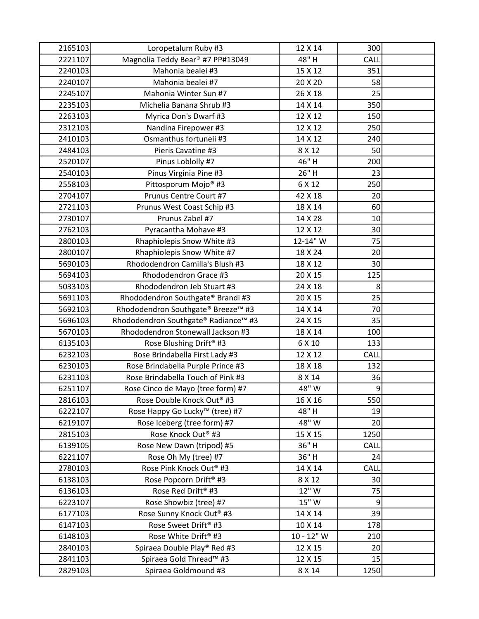| 2165103 | Loropetalum Ruby #3                  | 12 X 14    | 300  |  |
|---------|--------------------------------------|------------|------|--|
| 2221107 | Magnolia Teddy Bear® #7 PP#13049     | 48" H      | CALL |  |
| 2240103 | Mahonia bealei #3                    | 15 X 12    | 351  |  |
| 2240107 | Mahonia bealei #7                    | 20 X 20    | 58   |  |
| 2245107 | Mahonia Winter Sun #7                | 26 X 18    | 25   |  |
| 2235103 | Michelia Banana Shrub #3             | 14 X 14    | 350  |  |
| 2263103 | Myrica Don's Dwarf #3                | 12 X 12    | 150  |  |
| 2312103 | Nandina Firepower #3                 | 12 X 12    | 250  |  |
| 2410103 | Osmanthus fortuneii #3               | 14 X 12    | 240  |  |
| 2484103 | Pieris Cavatine #3                   | 8 X 12     | 50   |  |
| 2520107 | Pinus Loblolly #7                    | 46" H      | 200  |  |
| 2540103 | Pinus Virginia Pine #3               | 26" H      | 23   |  |
| 2558103 | Pittosporum Mojo® #3                 | 6 X 12     | 250  |  |
| 2704107 | Prunus Centre Court #7               | 42 X 18    | 20   |  |
| 2721103 | Prunus West Coast Schip #3           | 18 X 14    | 60   |  |
| 2730107 | Prunus Zabel #7                      | 14 X 28    | 10   |  |
| 2762103 | Pyracantha Mohave #3                 | 12 X 12    | 30   |  |
| 2800103 | Rhaphiolepis Snow White #3           | 12-14" W   | 75   |  |
| 2800107 | Rhaphiolepis Snow White #7           | 18 X 24    | 20   |  |
| 5690103 | Rhododendron Camilla's Blush #3      | 18 X 12    | 30   |  |
| 5694103 | Rhododendron Grace #3                | 20 X 15    | 125  |  |
| 5033103 | Rhododendron Jeb Stuart #3           | 24 X 18    | 8    |  |
| 5691103 | Rhododendron Southgate® Brandi #3    | 20 X 15    | 25   |  |
| 5692103 | Rhododendron Southgate® Breeze™ #3   | 14 X 14    | 70   |  |
| 5696103 | Rhododendron Southgate® Radiance™ #3 | 24 X 15    | 35   |  |
| 5670103 | Rhododendron Stonewall Jackson #3    | 18 X 14    | 100  |  |
| 6135103 | Rose Blushing Drift <sup>®</sup> #3  | 6 X 10     | 133  |  |
| 6232103 | Rose Brindabella First Lady #3       | 12 X 12    | CALL |  |
| 6230103 | Rose Brindabella Purple Prince #3    | 18 X 18    | 132  |  |
| 6231103 | Rose Brindabella Touch of Pink #3    | 8 X 14     | 36   |  |
| 6251107 | Rose Cinco de Mayo (tree form) #7    | 48" W      | 9    |  |
| 2816103 | Rose Double Knock Out® #3            | 16 X 16    | 550  |  |
| 6222107 | Rose Happy Go Lucky™ (tree) #7       | 48" H      | 19   |  |
| 6219107 | Rose Iceberg (tree form) #7          | 48" W      | 20   |  |
| 2815103 | Rose Knock Out <sup>®</sup> #3       | 15 X 15    | 1250 |  |
| 6139105 | Rose New Dawn (tripod) #5            | 36" H      | CALL |  |
| 6221107 | Rose Oh My (tree) #7                 | 36" H      | 24   |  |
| 2780103 | Rose Pink Knock Out® #3              | 14 X 14    | CALL |  |
| 6138103 | Rose Popcorn Drift <sup>®</sup> #3   | 8 X 12     | 30   |  |
| 6136103 | Rose Red Drift <sup>®</sup> #3       | 12"W       | 75   |  |
| 6223107 | Rose Showbiz (tree) #7               | 15"W       | 9    |  |
| 6177103 | Rose Sunny Knock Out® #3             | 14 X 14    | 39   |  |
| 6147103 | Rose Sweet Drift <sup>®</sup> #3     | 10 X 14    | 178  |  |
| 6148103 | Rose White Drift <sup>®</sup> #3     | 10 - 12" W | 210  |  |
| 2840103 | Spiraea Double Play® Red #3          | 12 X 15    | 20   |  |
| 2841103 | Spiraea Gold Thread™ #3              | 12 X 15    | 15   |  |
| 2829103 | Spiraea Goldmound #3                 | 8 X 14     | 1250 |  |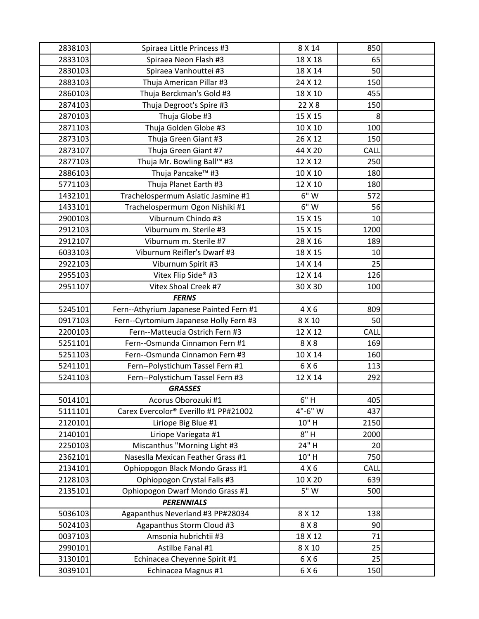| 2838103 | Spiraea Little Princess #3                           | 8 X 14       | 850  |  |
|---------|------------------------------------------------------|--------------|------|--|
| 2833103 | Spiraea Neon Flash #3                                | 18 X 18      | 65   |  |
| 2830103 | Spiraea Vanhouttei #3                                | 18 X 14      | 50   |  |
| 2883103 | Thuja American Pillar #3                             | 24 X 12      | 150  |  |
| 2860103 | Thuja Berckman's Gold #3                             | 18 X 10      | 455  |  |
| 2874103 | Thuja Degroot's Spire #3                             | 22 X 8       | 150  |  |
| 2870103 | Thuja Globe #3                                       | 15 X 15      | 8    |  |
| 2871103 | Thuja Golden Globe #3                                | 10 X 10      | 100  |  |
| 2873103 | Thuja Green Giant #3                                 | 26 X 12      | 150  |  |
| 2873107 | Thuja Green Giant #7                                 | 44 X 20      | CALL |  |
| 2877103 | Thuja Mr. Bowling Ball™ #3                           | 12 X 12      | 250  |  |
| 2886103 | Thuja Pancake <sup>™</sup> #3                        | 10 X 10      | 180  |  |
| 5771103 | Thuja Planet Earth #3                                | 12 X 10      | 180  |  |
| 1432101 | Trachelospermum Asiatic Jasmine #1                   | 6" W         | 572  |  |
| 1433101 | Trachelospermum Ogon Nishiki #1                      | 6" W         | 56   |  |
| 2900103 | Viburnum Chindo #3                                   | 15 X 15      | 10   |  |
| 2912103 | Viburnum m. Sterile #3                               | 15 X 15      | 1200 |  |
| 2912107 | Viburnum m. Sterile #7                               | 28 X 16      | 189  |  |
| 6033103 | Viburnum Reifler's Dwarf #3                          | 18 X 15      | 10   |  |
| 2922103 | Viburnum Spirit #3                                   | 14 X 14      | 25   |  |
| 2955103 | Vitex Flip Side® #3                                  | 12 X 14      | 126  |  |
| 2951107 | Vitex Shoal Creek #7                                 | 30 X 30      | 100  |  |
|         | <b>FERNS</b>                                         |              |      |  |
| 5245101 | Fern--Athyrium Japanese Painted Fern #1              | 4 X 6        | 809  |  |
| 0917103 | Fern--Cyrtomium Japanese Holly Fern #3               | 8 X 10       | 50   |  |
| 2200103 | Fern--Matteucia Ostrich Fern #3                      | 12 X 12      | CALL |  |
| 5251101 | Fern--Osmunda Cinnamon Fern #1                       | 8 X 8        | 169  |  |
| 5251103 | Fern--Osmunda Cinnamon Fern #3                       | 10 X 14      | 160  |  |
| 5241101 | Fern--Polystichum Tassel Fern #1                     | 6 X 6        | 113  |  |
| 5241103 | Fern--Polystichum Tassel Fern #3                     | 12 X 14      | 292  |  |
|         | <b>GRASSES</b>                                       |              |      |  |
| 5014101 | Acorus Oborozuki #1                                  | 6"H          | 405  |  |
| 5111101 | Carex Evercolor® Everillo #1 PP#21002                | 4"-6" W      | 437  |  |
| 2120101 | Liriope Big Blue #1                                  | 10" H<br>8"H | 2150 |  |
| 2140101 | Liriope Variegata #1                                 |              | 2000 |  |
| 2250103 | Miscanthus "Morning Light #3                         | 24" H        | 20   |  |
| 2362101 | Naseslla Mexican Feather Grass #1                    | 10" H        | 750  |  |
| 2134101 | Ophiopogon Black Mondo Grass #1                      | 4 X 6        | CALL |  |
| 2128103 | Ophiopogon Crystal Falls #3                          | 10 X 20      | 639  |  |
| 2135101 | Ophiopogon Dwarf Mondo Grass #1<br><b>PERENNIALS</b> | 5" W         | 500  |  |
| 5036103 | Agapanthus Neverland #3 PP#28034                     | 8 X 12       | 138  |  |
| 5024103 | Agapanthus Storm Cloud #3                            | 8 X 8        | 90   |  |
| 0037103 | Amsonia hubrichtii #3                                | 18 X 12      | 71   |  |
| 2990101 | Astilbe Fanal #1                                     | 8 X 10       | 25   |  |
| 3130101 | Echinacea Cheyenne Spirit #1                         | 6 X 6        | 25   |  |
| 3039101 | Echinacea Magnus #1                                  | 6 X 6        | 150  |  |
|         |                                                      |              |      |  |